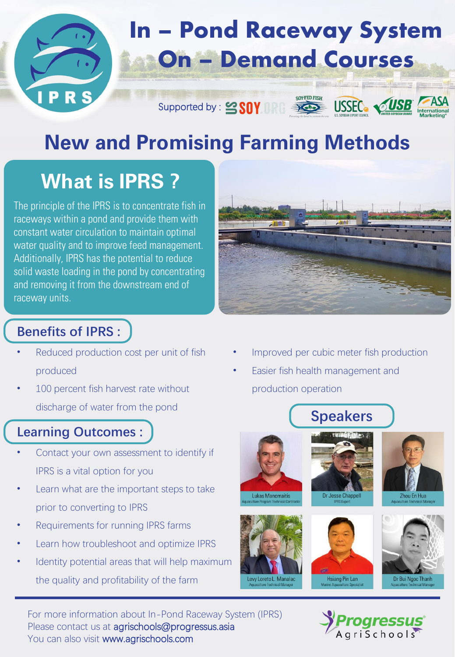

## **New and Promising Farming Methods**

## **What is IPRS ?**

The principle of the IPRS is to concentrate fish in raceways within a pond and provide them with constant water circulation to maintain optimal water quality and to improve feed management. Additionally, IPRS has the potential to reduce solid waste loading in the pond by concentrating and removing it from the downstream end of raceway units.



### **Benefits of IPRS :**

- Reduced production cost per unit of fish produced
- 100 percent fish harvest rate without discharge of water from the pond

### **Learning Outcomes :**

- Contact your own assessment to identify if IPRS is a vital option for you
- Learn what are the important steps to take prior to converting to IPRS
- Requirements for running IPRS farms
- Learn how troubleshoot and optimize IPRS
- Identity potential areas that will help maximum the quality and profitability of the farm
- Improved per cubic meter fish production
- Easier fish health management and production operation

Levy Loreto L. Mar



**Hsiang Pin Lan** 

Dr Bui Ngoc Thanh



For more information about In-Pond Raceway System (IPRS) Please contact us at agrischools@progressus.asia You can also visit www.agrischools.com